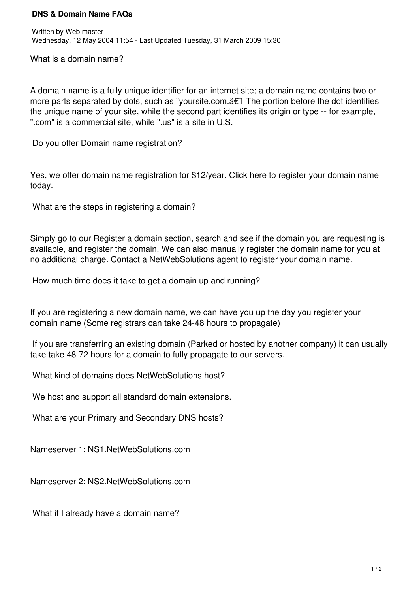## **DNS & Domain Name FAQs**

What is a domain name?

A domain name is a fully unique identifier for an internet site; a domain name contains two or more parts separated by dots, such as "yoursite.com. a€<sup>[]</sup> The portion before the dot identifies the unique name of your site, while the second part identifies its origin or type -- for example, ".com" is a commercial site, while ".us" is a site in U.S.

Do you offer Domain name registration?

Yes, we offer domain name registration for \$12/year. Click here to register your domain name today.

What are the steps in registering a domain?

Simply go to our Register a domain section, search and see if the domain you are requesting is available, and register the domain. We can also manually register the domain name for you at no additional charge. Contact a NetWebSolutions agent to register your domain name.

How much time does it take to get a domain up and running?

If you are registering a new domain name, we can have you up the day you register your domain name (Some registrars can take 24-48 hours to propagate)

 If you are transferring an existing domain (Parked or hosted by another company) it can usually take take 48-72 hours for a domain to fully propagate to our servers.

What kind of domains does NetWebSolutions host?

We host and support all standard domain extensions.

What are your Primary and Secondary DNS hosts?

Nameserver 1: NS1.NetWebSolutions.com

Nameserver 2: NS2.NetWebSolutions.com

What if I already have a domain name?